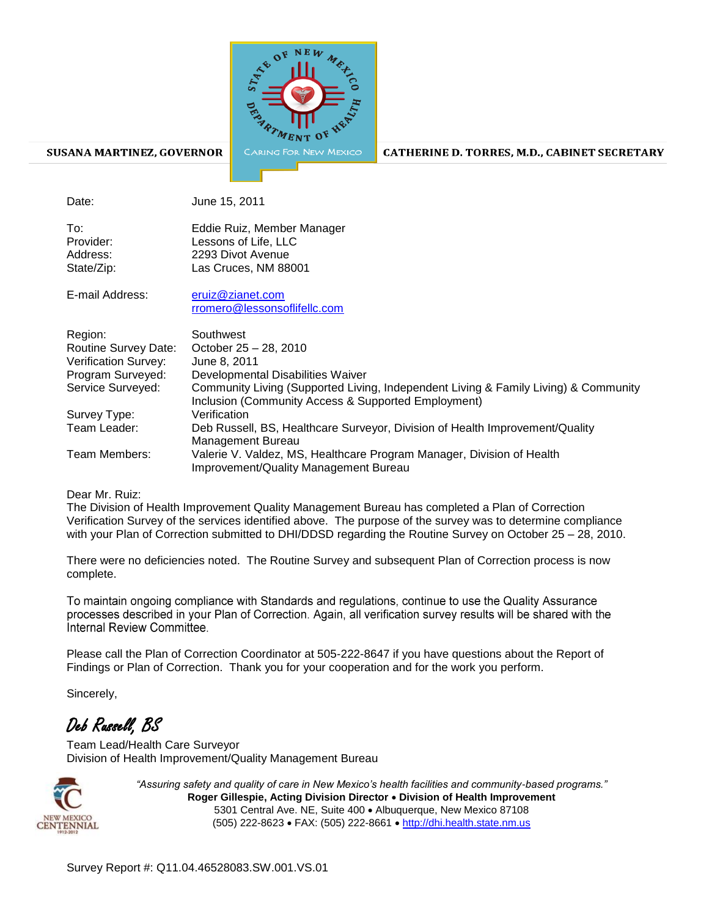

## SUSANA MARTINEZ, GOVERNOR

CATHERINE D. TORRES, M.D., CABINET SECRETARY

Date: June 15, 2011

| To∶        | Eddie Ruiz, Member Manager |
|------------|----------------------------|
| Provider:  | Lessons of Life, LLC       |
| Address:   | 2293 Divot Avenue          |
| State/Zip: | Las Cruces, NM 88001       |
|            |                            |

| E-mail Address: | eruiz@zianet.com             |
|-----------------|------------------------------|
|                 | rromero@lessonsoflifellc.com |
|                 |                              |

| Region:              | Southwest                                                                                                                                  |
|----------------------|--------------------------------------------------------------------------------------------------------------------------------------------|
| Routine Survey Date: | October 25 - 28, 2010                                                                                                                      |
| Verification Survey: | June 8, 2011                                                                                                                               |
| Program Surveyed:    | Developmental Disabilities Waiver                                                                                                          |
| Service Surveyed:    | Community Living (Supported Living, Independent Living & Family Living) & Community<br>Inclusion (Community Access & Supported Employment) |
| Survey Type:         | Verification                                                                                                                               |
| Team Leader:         | Deb Russell, BS, Healthcare Surveyor, Division of Health Improvement/Quality<br>Management Bureau                                          |
| Team Members:        | Valerie V. Valdez, MS, Healthcare Program Manager, Division of Health<br>Improvement/Quality Management Bureau                             |

## Dear Mr. Ruiz:

The Division of Health Improvement Quality Management Bureau has completed a Plan of Correction Verification Survey of the services identified above. The purpose of the survey was to determine compliance with your Plan of Correction submitted to DHI/DDSD regarding the Routine Survey on October 25 - 28, 2010.

There were no deficiencies noted. The Routine Survey and subsequent Plan of Correction process is now complete.

To maintain ongoing compliance with Standards and regulations, continue to use the Quality Assurance processes described in your Plan of Correction. Again, all verification survey results will be shared with the Internal Review Committee

Please call the Plan of Correction Coordinator at 505-222-8647 if you have questions about the Report of Findings or Plan of Correction. Thank you for your cooperation and for the work you perform.

Sincerely,

## Deb Russell, BS

Team Lead/Health Care Surveyor Division of Health Improvement/Quality Management Bureau



*"Assuring safety and quality of care in New Mexico's health facilities and community-based programs."* **Roger Gillespie, Acting Division Director Division of Health Improvement**  5301 Central Ave. NE, Suite 400 Albuquerque, New Mexico 87108 (505) 222-8623 FAX: (505) 222-8661 http://dhi.health.state.nm.us